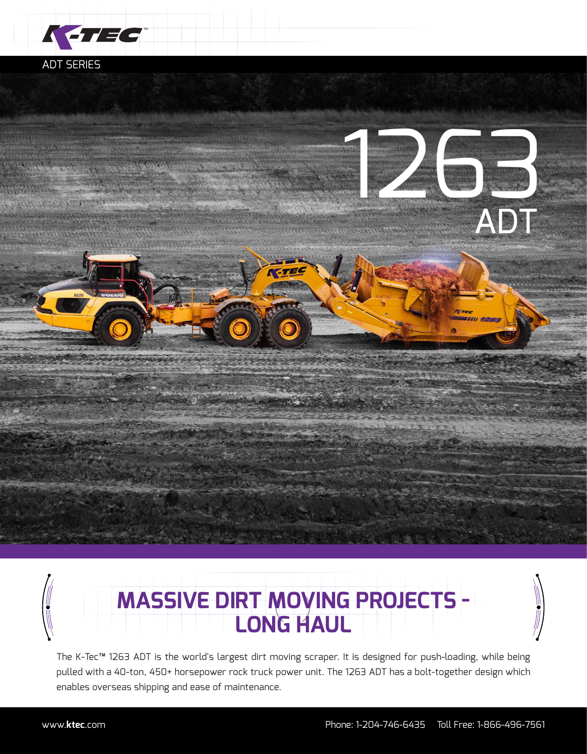



## **MASSIVE DIRT MOVING PROJECTS - LONG HAUL**

The K-Tec™ 1263 ADT is the world's largest dirt moving scraper. It is designed for push-loading, while being pulled with a 40-ton, 450+ horsepower rock truck power unit. The 1263 ADT has a bolt-together design which enables overseas shipping and ease of maintenance.